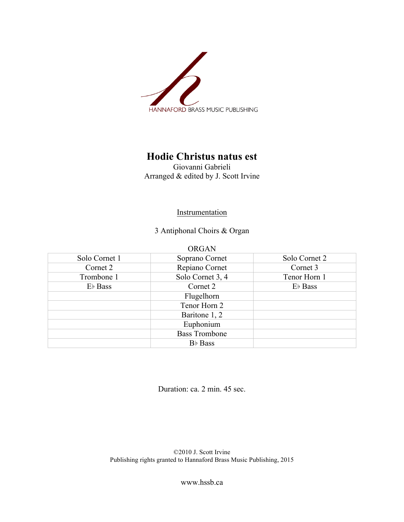

## **Hodie Christus natus est**

Giovanni Gabrieli Arranged & edited by J. Scott Irvine

## **Instrumentation**

3 Antiphonal Choirs & Organ

| Solo Cornet 1 | Soprano Cornet       | Solo Cornet 2       |
|---------------|----------------------|---------------------|
| Cornet 2      | Repiano Cornet       | Cornet 3            |
| Trombone 1    | Solo Cornet 3, 4     | Tenor Horn 1        |
| $E\nmid$ Bass | Cornet 2             | E <sub>b</sub> Bass |
|               | Flugelhorn           |                     |
|               | Tenor Horn 2         |                     |
|               | Baritone 1, 2        |                     |
|               | Euphonium            |                     |
|               | <b>Bass Trombone</b> |                     |
|               | B <sub>b</sub> Bass  |                     |

Duration: ca. 2 min. 45 sec.

©2010 J. Scott Irvine Publishing rights granted to Hannaford Brass Music Publishing, 2015

www.hssb.ca